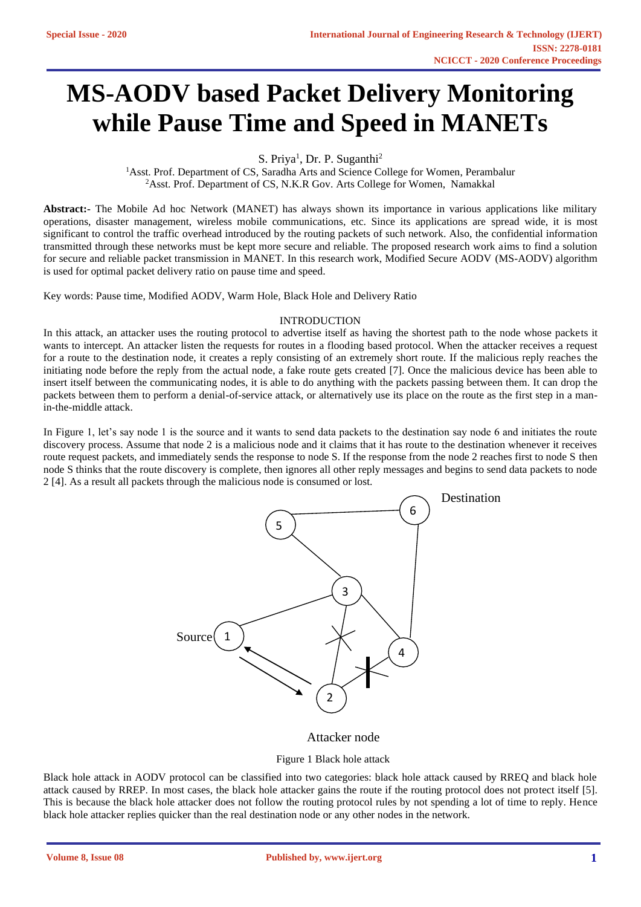# **MS-AODV based Packet Delivery Monitoring while Pause Time and Speed in MANETs**

S. Priya<sup>1</sup>, Dr. P. Suganthi<sup>2</sup>

<sup>1</sup>Asst. Prof. Department of CS, Saradha Arts and Science College for Women, Perambalur <sup>2</sup>Asst. Prof. Department of CS, N.K.R Gov. Arts College for Women, Namakkal

**Abstract:-** The Mobile Ad hoc Network (MANET) has always shown its importance in various applications like military operations, disaster management, wireless mobile communications, etc. Since its applications are spread wide, it is most significant to control the traffic overhead introduced by the routing packets of such network. Also, the confidential information transmitted through these networks must be kept more secure and reliable. The proposed research work aims to find a solution for secure and reliable packet transmission in MANET. In this research work, Modified Secure AODV (MS-AODV) algorithm is used for optimal packet delivery ratio on pause time and speed.

Key words: Pause time, Modified AODV, Warm Hole, Black Hole and Delivery Ratio

## INTRODUCTION

In this attack, an attacker uses the routing protocol to advertise itself as having the shortest path to the node whose packets it wants to intercept. An attacker listen the requests for routes in a flooding based protocol. When the attacker receives a request for a route to the destination node, it creates a reply consisting of an extremely short route. If the malicious reply reaches the initiating node before the reply from the actual node, a fake route gets created [7]. Once the malicious device has been able to insert itself between the communicating nodes, it is able to do anything with the packets passing between them. It can drop the packets between them to perform a denial-of-service attack, or alternatively use its place on the route as the first step in a manin-the-middle attack.

In Figure 1, let's say node 1 is the source and it wants to send data packets to the destination say node 6 and initiates the route discovery process. Assume that node 2 is a malicious node and it claims that it has route to the destination whenever it receives route request packets, and immediately sends the response to node S. If the response from the node 2 reaches first to node S then node S thinks that the route discovery is complete, then ignores all other reply messages and begins to send data packets to node 2 [4]. As a result all packets through the malicious node is consumed or lost.



## Attacker node

## Figure 1 Black hole attack

Black hole attack in AODV protocol can be classified into two categories: black hole attack caused by RREQ and black hole attack caused by RREP. In most cases, the black hole attacker gains the route if the routing protocol does not protect itself [5]. This is because the black hole attacker does not follow the routing protocol rules by not spending a lot of time to reply. Hence black hole attacker replies quicker than the real destination node or any other nodes in the network.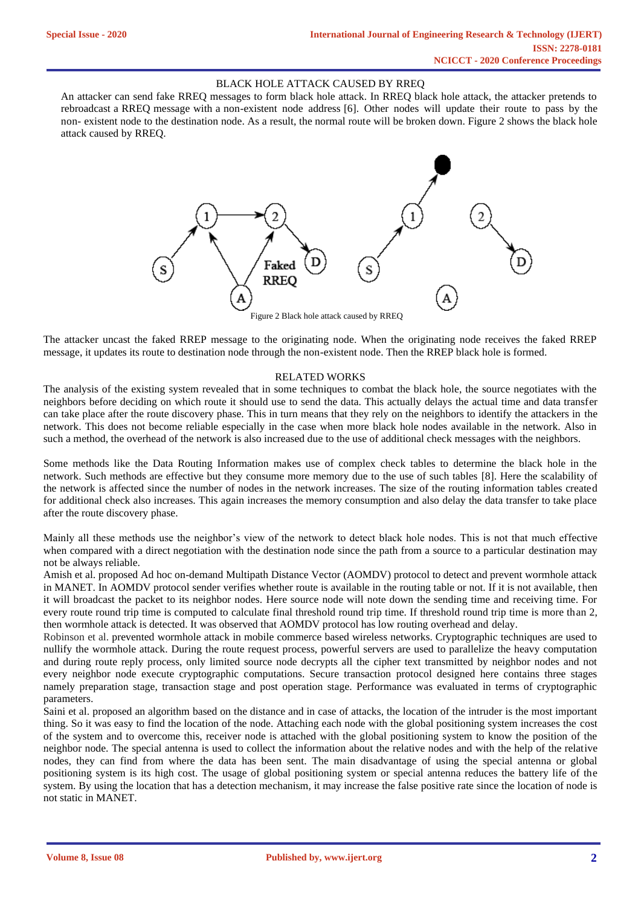#### BLACK HOLE ATTACK CAUSED BY RREQ

An attacker can send fake RREQ messages to form black hole attack. In RREQ black hole attack, the attacker pretends to rebroadcast a RREQ message with a non-existent node address [6]. Other nodes will update their route to pass by the non- existent node to the destination node. As a result, the normal route will be broken down. Figure 2 shows the black hole attack caused by RREQ.



The attacker uncast the faked RREP message to the originating node. When the originating node receives the faked RREP message, it updates its route to destination node through the non-existent node. Then the RREP black hole is formed.

#### RELATED WORKS

The analysis of the existing system revealed that in some techniques to combat the black hole, the source negotiates with the neighbors before deciding on which route it should use to send the data. This actually delays the actual time and data transfer can take place after the route discovery phase. This in turn means that they rely on the neighbors to identify the attackers in the network. This does not become reliable especially in the case when more black hole nodes available in the network. Also in such a method, the overhead of the network is also increased due to the use of additional check messages with the neighbors.

Some methods like the Data Routing Information makes use of complex check tables to determine the black hole in the network. Such methods are effective but they consume more memory due to the use of such tables [8]. Here the scalability of the network is affected since the number of nodes in the network increases. The size of the routing information tables created for additional check also increases. This again increases the memory consumption and also delay the data transfer to take place after the route discovery phase.

Mainly all these methods use the neighbor's view of the network to detect black hole nodes. This is not that much effective when compared with a direct negotiation with the destination node since the path from a source to a particular destination may not be always reliable.

[Amish](https://www.sciencedirect.com/science/article/pii/S1877050916002234#!) et al. proposed Ad hoc on-demand Multipath Distance Vector (AOMDV) protocol to detect and prevent wormhole attack in MANET. In AOMDV protocol sender verifies whether route is available in the routing table or not. If it is not available, then it will broadcast the packet to its neighbor nodes. Here source node will note down the sending time and receiving time. For every route round trip time is computed to calculate final threshold round trip time. If threshold round trip time is more than 2, then wormhole attack is detected. It was observed that AOMDV protocol has low routing overhead and delay.

Robinson et al. prevented wormhole attack in mobile commerce based wireless networks. Cryptographic techniques are used to nullify the wormhole attack. During the route request process, powerful servers are used to parallelize the heavy computation and during route reply process, only limited source node decrypts all the cipher text transmitted by neighbor nodes and not every neighbor node execute cryptographic computations. Secure transaction protocol designed here contains three stages namely preparation stage, transaction stage and post operation stage. Performance was evaluated in terms of cryptographic parameters.

Saini et al. proposed an algorithm based on the distance and in case of attacks, the location of the intruder is the most important thing. So it was easy to find the location of the node. Attaching each node with the global positioning system increases the cost of the system and to overcome this, receiver node is attached with the global positioning system to know the position of the neighbor node. The special antenna is used to collect the information about the relative nodes and with the help of the relative nodes, they can find from where the data has been sent. The main disadvantage of using the special antenna or global positioning system is its high cost. The usage of global positioning system or special antenna reduces the battery life of the system. By using the location that has a detection mechanism, it may increase the false positive rate since the location of node is not static in MANET.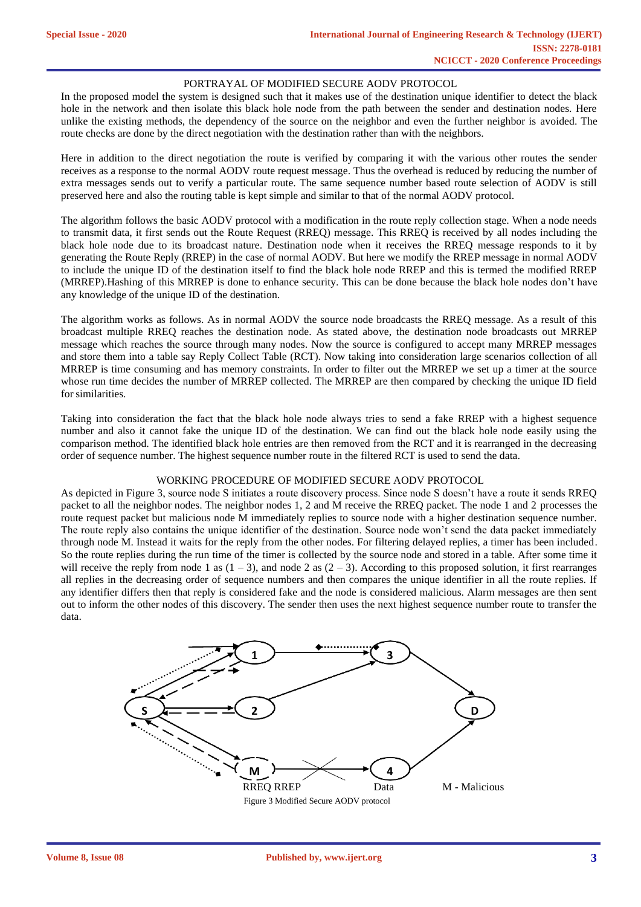### PORTRAYAL OF MODIFIED SECURE AODV PROTOCOL

In the proposed model the system is designed such that it makes use of the destination unique identifier to detect the black hole in the network and then isolate this black hole node from the path between the sender and destination nodes. Here unlike the existing methods, the dependency of the source on the neighbor and even the further neighbor is avoided. The route checks are done by the direct negotiation with the destination rather than with the neighbors.

Here in addition to the direct negotiation the route is verified by comparing it with the various other routes the sender receives as a response to the normal AODV route request message. Thus the overhead is reduced by reducing the number of extra messages sends out to verify a particular route. The same sequence number based route selection of AODV is still preserved here and also the routing table is kept simple and similar to that of the normal AODV protocol.

The algorithm follows the basic AODV protocol with a modification in the route reply collection stage. When a node needs to transmit data, it first sends out the Route Request (RREQ) message. This RREQ is received by all nodes including the black hole node due to its broadcast nature. Destination node when it receives the RREQ message responds to it by generating the Route Reply (RREP) in the case of normal AODV. But here we modify the RREP message in normal AODV to include the unique ID of the destination itself to find the black hole node RREP and this is termed the modified RREP (MRREP).Hashing of this MRREP is done to enhance security. This can be done because the black hole nodes don't have any knowledge of the unique ID of the destination.

The algorithm works as follows. As in normal AODV the source node broadcasts the RREQ message. As a result of this broadcast multiple RREQ reaches the destination node. As stated above, the destination node broadcasts out MRREP message which reaches the source through many nodes. Now the source is configured to accept many MRREP messages and store them into a table say Reply Collect Table (RCT). Now taking into consideration large scenarios collection of all MRREP is time consuming and has memory constraints. In order to filter out the MRREP we set up a timer at the source whose run time decides the number of MRREP collected. The MRREP are then compared by checking the unique ID field for similarities.

Taking into consideration the fact that the black hole node always tries to send a fake RREP with a highest sequence number and also it cannot fake the unique ID of the destination. We can find out the black hole node easily using the comparison method. The identified black hole entries are then removed from the RCT and it is rearranged in the decreasing order of sequence number. The highest sequence number route in the filtered RCT is used to send the data.

#### WORKING PROCEDURE OF MODIFIED SECURE AODV PROTOCOL

As depicted in Figure 3, source node S initiates a route discovery process. Since node S doesn't have a route it sends RREQ packet to all the neighbor nodes. The neighbor nodes 1, 2 and M receive the RREQ packet. The node 1 and 2 processes the route request packet but malicious node M immediately replies to source node with a higher destination sequence number. The route reply also contains the unique identifier of the destination. Source node won't send the data packet immediately through node M. Instead it waits for the reply from the other nodes. For filtering delayed replies, a timer has been included. So the route replies during the run time of the timer is collected by the source node and stored in a table. After some time it will receive the reply from node 1 as  $(1 - 3)$ , and node 2 as  $(2 - 3)$ . According to this proposed solution, it first rearranges all replies in the decreasing order of sequence numbers and then compares the unique identifier in all the route replies. If any identifier differs then that reply is considered fake and the node is considered malicious. Alarm messages are then sent out to inform the other nodes of this discovery. The sender then uses the next highest sequence number route to transfer the data.

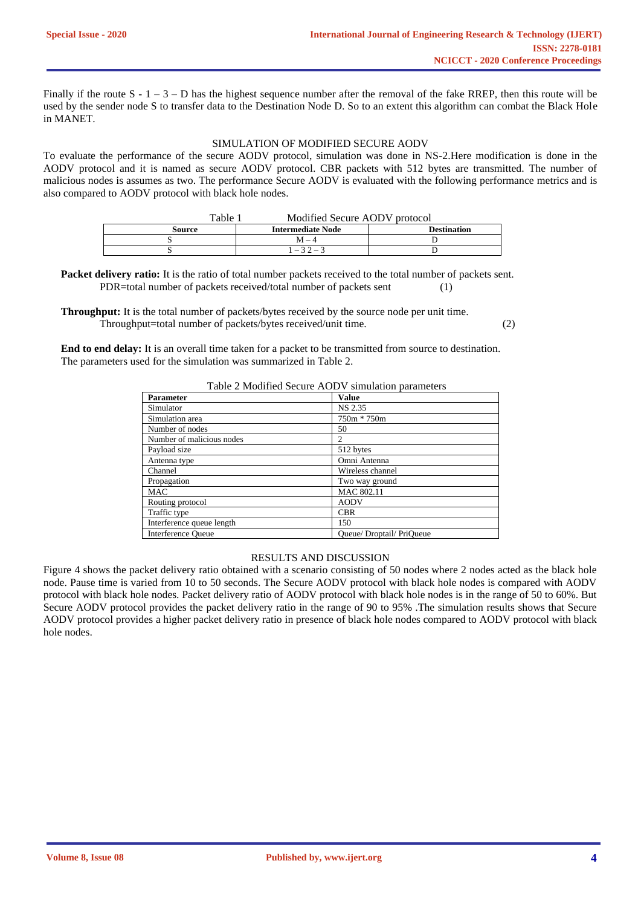Finally if the route  $S - 1 - 3 - D$  has the highest sequence number after the removal of the fake RREP, then this route will be used by the sender node S to transfer data to the Destination Node D. So to an extent this algorithm can combat the Black Hole in MANET.

## SIMULATION OF MODIFIED SECURE AODV

To evaluate the performance of the secure AODV protocol, simulation was done in NS-2.Here modification is done in the AODV protocol and it is named as secure AODV protocol. CBR packets with 512 bytes are transmitted. The number of malicious nodes is assumes as two. The performance Secure AODV is evaluated with the following performance metrics and is also compared to AODV protocol with black hole nodes.

| Table 1 | Modified Secure AODV protocol |                    |
|---------|-------------------------------|--------------------|
| Source  | <b>Intermediate Node</b>      | <b>Destination</b> |
|         | $M - 4$                       |                    |
|         | $1 - 32 - 3$                  |                    |

**Packet delivery ratio:** It is the ratio of total number packets received to the total number of packets sent. PDR=total number of packets received/total number of packets sent (1)

**Throughput:** It is the total number of packets/bytes received by the source node per unit time. Throughput=total number of packets/bytes received/unit time. (2)

**End to end delay:** It is an overall time taken for a packet to be transmitted from source to destination. The parameters used for the simulation was summarized in Table 2.

## Table 2 Modified Secure AODV simulation parameters

| <b>Parameter</b>          | <b>Value</b>              |
|---------------------------|---------------------------|
| Simulator                 | NS 2.35                   |
| Simulation area           | 750m * 750m               |
| Number of nodes           | 50                        |
| Number of malicious nodes | 2                         |
| Payload size              | 512 bytes                 |
| Antenna type              | Omni Antenna              |
| Channel                   | Wireless channel          |
| Propagation               | Two way ground            |
| <b>MAC</b>                | MAC 802.11                |
| Routing protocol          | <b>AODV</b>               |
| Traffic type              | <b>CBR</b>                |
| Interference queue length | 150                       |
| <b>Interference Queue</b> | Oueue/ Droptail/ PriOueue |

#### RESULTS AND DISCUSSION

Figure 4 shows the packet delivery ratio obtained with a scenario consisting of 50 nodes where 2 nodes acted as the black hole node. Pause time is varied from 10 to 50 seconds. The Secure AODV protocol with black hole nodes is compared with AODV protocol with black hole nodes. Packet delivery ratio of AODV protocol with black hole nodes is in the range of 50 to 60%. But Secure AODV protocol provides the packet delivery ratio in the range of 90 to 95% .The simulation results shows that Secure AODV protocol provides a higher packet delivery ratio in presence of black hole nodes compared to AODV protocol with black hole nodes.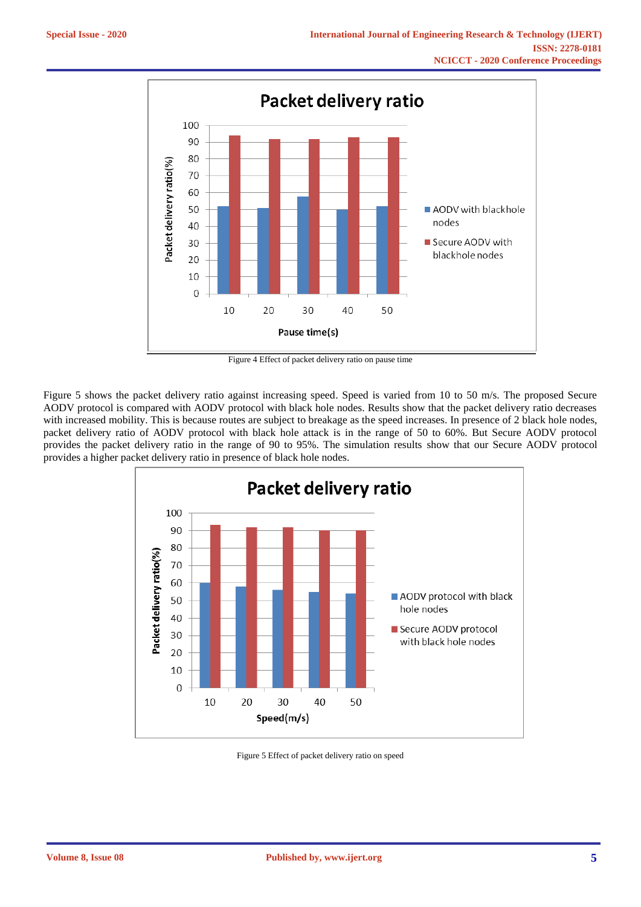

Figure 4 Effect of packet delivery ratio on pause time

Figure 5 shows the packet delivery ratio against increasing speed. Speed is varied from 10 to 50 m/s. The proposed Secure AODV protocol is compared with AODV protocol with black hole nodes. Results show that the packet delivery ratio decreases with increased mobility. This is because routes are subject to breakage as the speed increases. In presence of 2 black hole nodes, packet delivery ratio of AODV protocol with black hole attack is in the range of 50 to 60%. But Secure AODV protocol provides the packet delivery ratio in the range of 90 to 95%. The simulation results show that our Secure AODV protocol provides a higher packet delivery ratio in presence of black hole nodes.



Figure 5 Effect of packet delivery ratio on speed